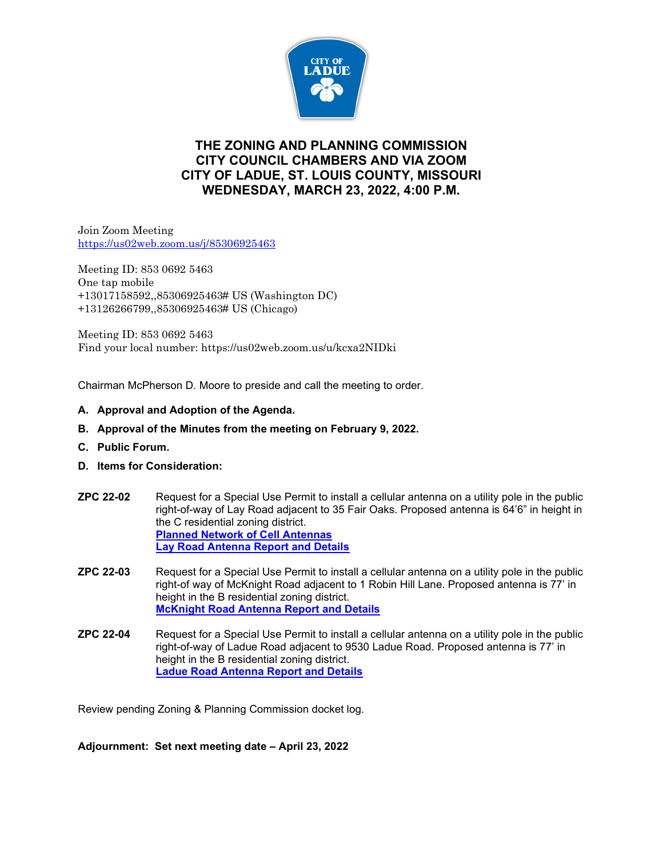

## **THE ZONING AND PLANNING COMMISSION CITY COUNCIL CHAMBERS AND VIA ZOOM CITY OF LADUE, ST. LOUIS COUNTY, MISSOURI WEDNESDAY, MARCH 23, 2022, 4:00 P.M.**

Join Zoom Meeting <https://us02web.zoom.us/j/85306925463>

Meeting ID: 853 0692 5463 One tap mobile +13017158592,,85306925463# US (Washington DC) +13126266799,,85306925463# US (Chicago)

Meeting ID: 853 0692 5463 Find your local number: https://us02web.zoom.us/u/kcxa2NIDki

Chairman McPherson D. Moore to preside and call the meeting to order.

- **A. Approval and Adoption of the Agenda.**
- **B. Approval of the Minutes from the meeting on February 9, 2022.**
- **C. Public Forum.**
- **D. Items for Consideration:**
- **ZPC 22-02** Request for a Special Use Permit to install a cellular antenna on a utility pole in the public right-of-way of Lay Road adjacent to 35 Fair Oaks. Proposed antenna is 64'6" in height in the C residential zoning district. **[Planned Network of Cell Antennas](https://www.cityofladue-mo.gov/mm/files/Planned%20ATT%20Antenna%20network%20as%20of%20Feb2022.pdf) [Lay Road Antenna Report and Details](https://www.cityofladue-mo.gov/mm/files/ZP%203.23.22%20Lay%20Rd%20communication%20antenna%20pkt.pdf)**
- **ZPC 22-03** Request for a Special Use Permit to install a cellular antenna on a utility pole in the public right-of way of McKnight Road adjacent to 1 Robin Hill Lane. Proposed antenna is 77' in height in the B residential zoning district. **[McKnight Road Antenna Report and Details](https://www.cityofladue-mo.gov/mm/files/ZP%203.23.22%20McKnight%20%20communication%20antenna%20pkt.pdf)**
- **ZPC 22-04** Request for a Special Use Permit to install a cellular antenna on a utility pole in the public right-of-way of Ladue Road adjacent to 9530 Ladue Road. Proposed antenna is 77' in height in the B residential zoning district. **[Ladue Road Antenna Report and Details](https://www.cityofladue-mo.gov/mm/files/ZP%203.23.22%20Ladue%20Rd%20communication%20antenna%20packet.pdf)**

Review pending Zoning & Planning Commission docket log.

**Adjournment: Set next meeting date – April 23, 2022**